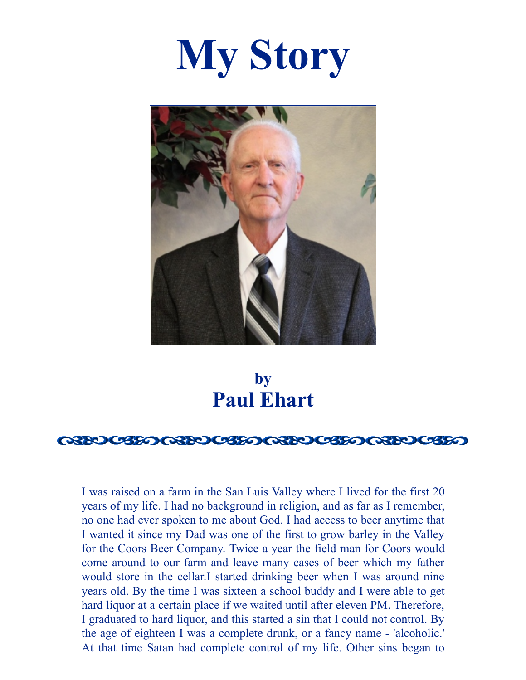



**by Paul Ehart**

#### Q3200350Q3200350Q3200350Q3200350

I was raised on a farm in the San Luis Valley where I lived for the first 20 years of my life. I had no background in religion, and as far as I remember, no one had ever spoken to me about God. I had access to beer anytime that I wanted it since my Dad was one of the first to grow barley in the Valley for the Coors Beer Company. Twice a year the field man for Coors would come around to our farm and leave many cases of beer which my father would store in the cellar.I started drinking beer when I was around nine years old. By the time I was sixteen a school buddy and I were able to get hard liquor at a certain place if we waited until after eleven PM. Therefore, I graduated to hard liquor, and this started a sin that I could not control. By the age of eighteen I was a complete drunk, or a fancy name - 'alcoholic.' At that time Satan had complete control of my life. Other sins began to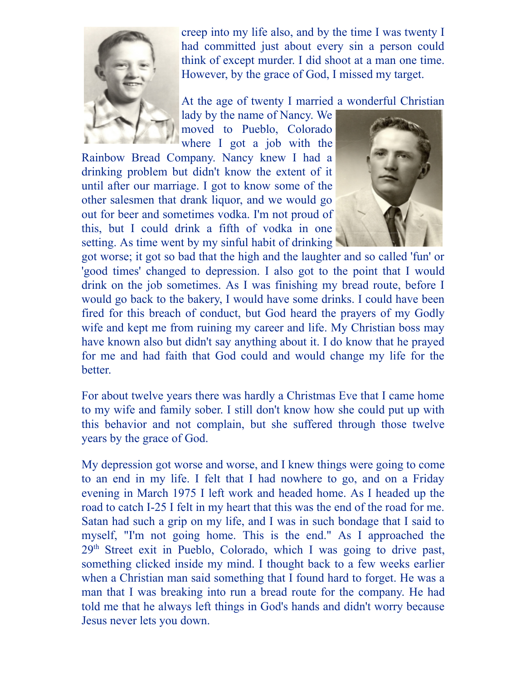

creep into my life also, and by the time I was twenty I had committed just about every sin a person could think of except murder. I did shoot at a man one time. However, by the grace of God, I missed my target.

At the age of twenty I married a wonderful Christian

lady by the name of Nancy. We moved to Pueblo, Colorado where I got a job with the

Rainbow Bread Company. Nancy knew I had a drinking problem but didn't know the extent of it until after our marriage. I got to know some of the other salesmen that drank liquor, and we would go out for beer and sometimes vodka. I'm not proud of this, but I could drink a fifth of vodka in one setting. As time went by my sinful habit of drinking



got worse; it got so bad that the high and the laughter and so called 'fun' or 'good times' changed to depression. I also got to the point that I would drink on the job sometimes. As I was finishing my bread route, before I would go back to the bakery, I would have some drinks. I could have been fired for this breach of conduct, but God heard the prayers of my Godly wife and kept me from ruining my career and life. My Christian boss may have known also but didn't say anything about it. I do know that he prayed for me and had faith that God could and would change my life for the better.

For about twelve years there was hardly a Christmas Eve that I came home to my wife and family sober. I still don't know how she could put up with this behavior and not complain, but she suffered through those twelve years by the grace of God.

My depression got worse and worse, and I knew things were going to come to an end in my life. I felt that I had nowhere to go, and on a Friday evening in March 1975 I left work and headed home. As I headed up the road to catch I-25 I felt in my heart that this was the end of the road for me. Satan had such a grip on my life, and I was in such bondage that I said to myself, "I'm not going home. This is the end." As I approached the 29<sup>th</sup> Street exit in Pueblo, Colorado, which I was going to drive past, something clicked inside my mind. I thought back to a few weeks earlier when a Christian man said something that I found hard to forget. He was a man that I was breaking into run a bread route for the company. He had told me that he always left things in God's hands and didn't worry because Jesus never lets you down.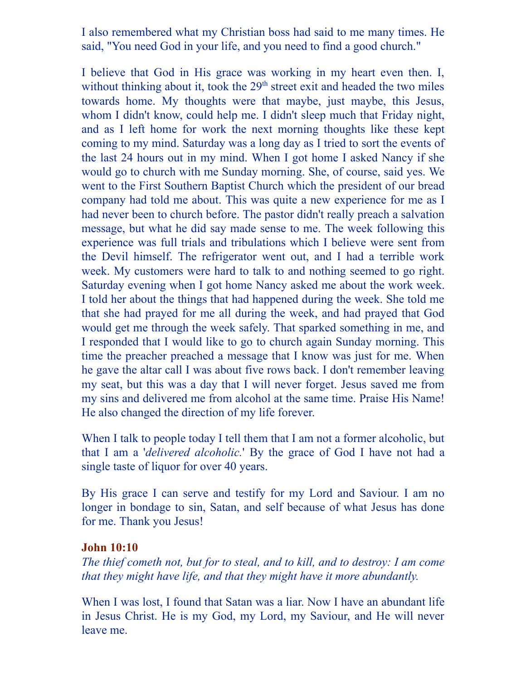I also remembered what my Christian boss had said to me many times. He said, "You need God in your life, and you need to find a good church."

I believe that God in His grace was working in my heart even then. I, without thinking about it, took the 29<sup>th</sup> street exit and headed the two miles towards home. My thoughts were that maybe, just maybe, this Jesus, whom I didn't know, could help me. I didn't sleep much that Friday night, and as I left home for work the next morning thoughts like these kept coming to my mind. Saturday was a long day as I tried to sort the events of the last 24 hours out in my mind. When I got home I asked Nancy if she would go to church with me Sunday morning. She, of course, said yes. We went to the First Southern Baptist Church which the president of our bread company had told me about. This was quite a new experience for me as I had never been to church before. The pastor didn't really preach a salvation message, but what he did say made sense to me. The week following this experience was full trials and tribulations which I believe were sent from the Devil himself. The refrigerator went out, and I had a terrible work week. My customers were hard to talk to and nothing seemed to go right. Saturday evening when I got home Nancy asked me about the work week. I told her about the things that had happened during the week. She told me that she had prayed for me all during the week, and had prayed that God would get me through the week safely. That sparked something in me, and I responded that I would like to go to church again Sunday morning. This time the preacher preached a message that I know was just for me. When he gave the altar call I was about five rows back. I don't remember leaving my seat, but this was a day that I will never forget. Jesus saved me from my sins and delivered me from alcohol at the same time. Praise His Name! He also changed the direction of my life forever.

When I talk to people today I tell them that I am not a former alcoholic, but that I am a '*delivered alcoholic.*' By the grace of God I have not had a single taste of liquor for over 40 years.

By His grace I can serve and testify for my Lord and Saviour. I am no longer in bondage to sin, Satan, and self because of what Jesus has done for me. Thank you Jesus!

#### **John 10:10**

*The thief cometh not, but for to steal, and to kill, and to destroy: I am come that they might have life, and that they might have it more abundantly.*

When I was lost, I found that Satan was a liar. Now I have an abundant life in Jesus Christ. He is my God, my Lord, my Saviour, and He will never leave me.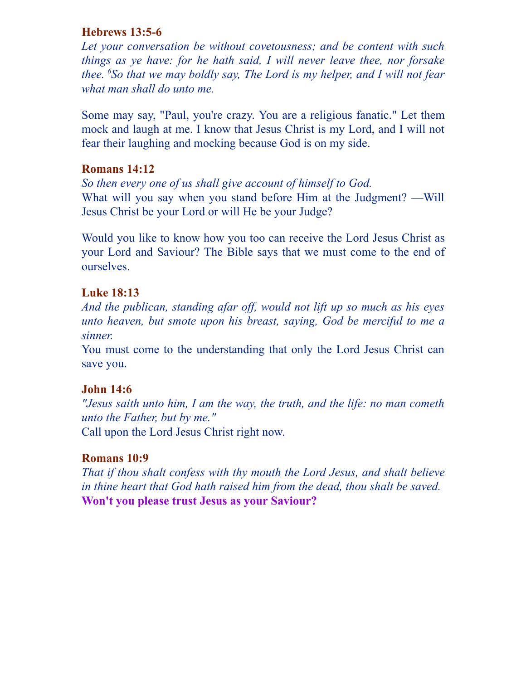#### **Hebrews 13:5-6**

*Let your conversation be without covetousness; and be content with such things as ye have: for he hath said, I will never leave thee, nor forsake thee. <sup>6</sup>So that we may boldly say, The Lord is my helper, and I will not fear what man shall do unto me.*

Some may say, "Paul, you're crazy. You are a religious fanatic." Let them mock and laugh at me. I know that Jesus Christ is my Lord, and I will not fear their laughing and mocking because God is on my side.

#### **Romans 14:12**

*So then every one of us shall give account of himself to God.* What will you say when you stand before Him at the Judgment? —Will Jesus Christ be your Lord or will He be your Judge?

Would you like to know how you too can receive the Lord Jesus Christ as your Lord and Saviour? The Bible says that we must come to the end of ourselves.

#### **Luke 18:13**

*And the publican, standing afar of , would not lift up so much as his eyes unto heaven, but smote upon his breast, saying, God be merciful to me a sinner.*

You must come to the understanding that only the Lord Jesus Christ can save you.

### **John 14:6**

*"Jesus saith unto him, I am the way, the truth, and the life: no man cometh unto the Father, but by me."* Call upon the Lord Jesus Christ right now.

## **Romans 10:9**

*That if thou shalt confess with thy mouth the Lord Jesus, and shalt believe in thine heart that God hath raised him from the dead, thou shalt be saved.* **Won't you please trust Jesus as your Saviour?**